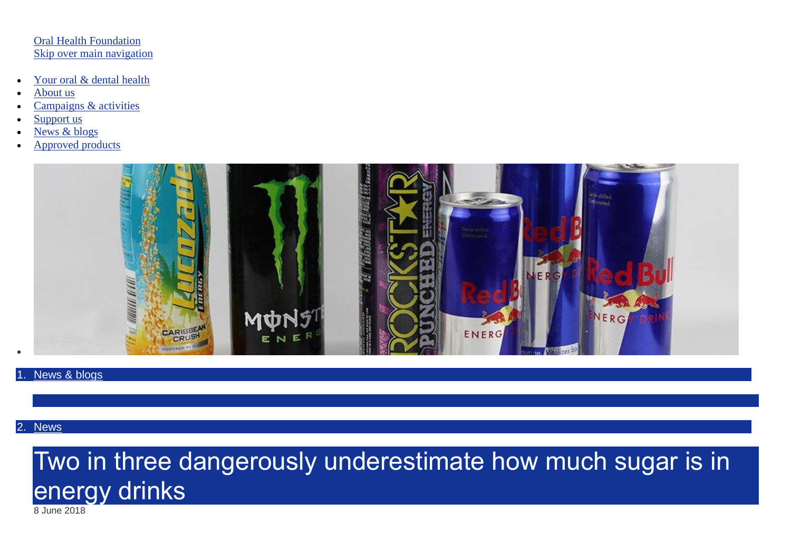#### [Oral Health Foundation](https://www.dentalhealth.org/) [Skip over main navigation](https://www.dentalhealth.org/news/two-in-three-dangerously-underestimate-how-much-sugar-is-in-energy-drinks#startcontent)

- [Your oral & dental health](https://www.dentalhealth.org/Pages/Display.aspx?Title=your-oral-and-dental-health)
- [About us](https://www.dentalhealth.org/Pages/Display.aspx?Title=who-we-are)
- [Campaigns & activities](https://www.dentalhealth.org/Pages/Default.aspx?CategoryTitle=campaigns-and-activities)
- [Support us](https://www.dentalhealth.org/Pages/Display.aspx?Title=supportus)
- [News & blogs](https://www.dentalhealth.org/Pages/Display.aspx?Title=news-and-blogs)
- [Approved products](https://www.dentalhealth.org/Pages/Category/approved-products/)



#### [News & blogs](https://www.dentalhealth.org/news-and-blogs)

### 2. [News](https://www.dentalhealth.org/Pages/News/Category/news/)

# Two in three dangerously underestimate how much sugar is in energy drinks

8 June 2018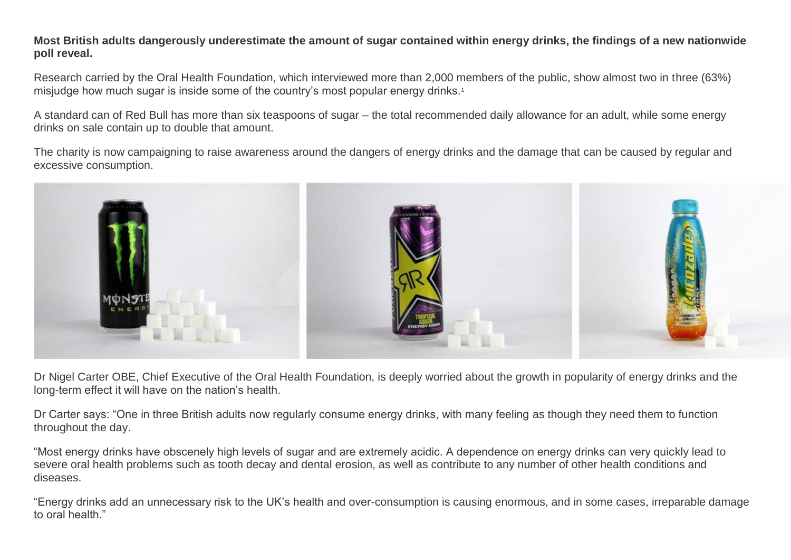**Most British adults dangerously underestimate the amount of sugar contained within energy drinks, the findings of a new nationwide poll reveal.**

Research carried by the Oral Health Foundation, which interviewed more than 2,000 members of the public, show almost two in three (63%) misjudge how much sugar is inside some of the country's most popular energy drinks.<sup>1</sup>

A standard can of Red Bull has more than six teaspoons of sugar – the total recommended daily allowance for an adult, while some energy drinks on sale contain up to double that amount.

The charity is now campaigning to raise awareness around the dangers of energy drinks and the damage that can be caused by regular and excessive consumption.



Dr Nigel Carter OBE, Chief Executive of the Oral Health Foundation, is deeply worried about the growth in popularity of energy drinks and the long-term effect it will have on the nation's health.

Dr Carter says: "One in three British adults now regularly consume energy drinks, with many feeling as though they need them to function throughout the day.

"Most energy drinks have obscenely high levels of sugar and are extremely acidic. A dependence on energy drinks can very quickly lead to severe oral health problems such as tooth decay and dental erosion, as well as contribute to any number of other health conditions and diseases.

"Energy drinks add an unnecessary risk to the UK's health and over-consumption is causing enormous, and in some cases, irreparable damage to oral health."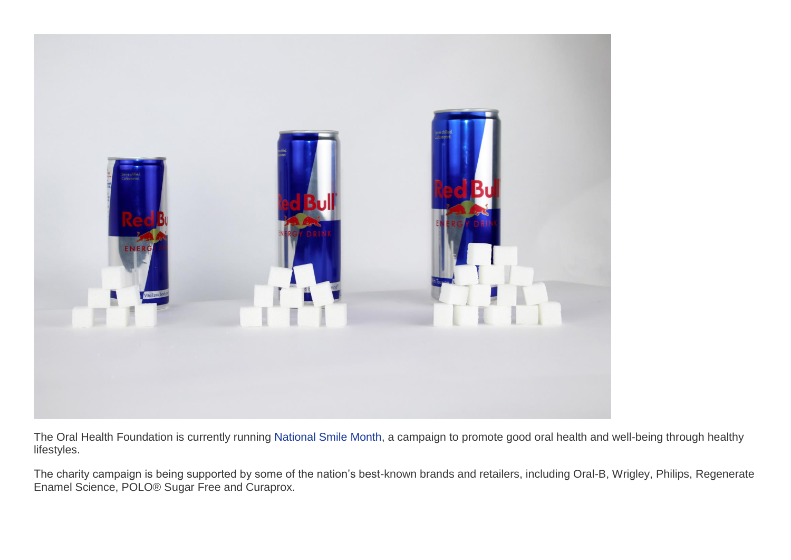

The Oral Health Foundation is currently running [National Smile Month,](https://www.dentalhealth.org/what-is-national-smile-month) a campaign to promote good oral health and well-being through healthy lifestyles.

The charity campaign is being supported by some of the nation's best-known brands and retailers, including Oral-B, Wrigley, Philips, Regenerate Enamel Science, POLO® Sugar Free and Curaprox.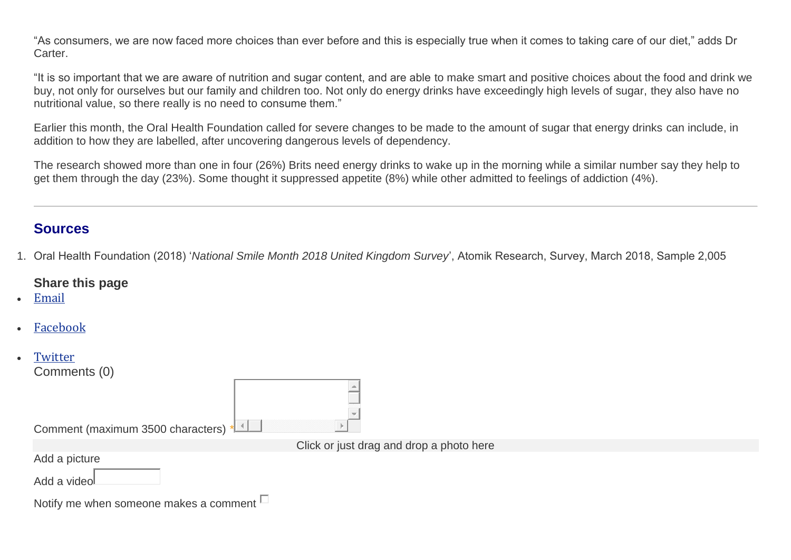"As consumers, we are now faced more choices than ever before and this is especially true when it comes to taking care of our diet," adds Dr Carter.

"It is so important that we are aware of nutrition and sugar content, and are able to make smart and positive choices about the food and drink we buy, not only for ourselves but our family and children too. Not only do energy drinks have exceedingly high levels of sugar, they also have no nutritional value, so there really is no need to consume them."

Earlier this month, the Oral Health Foundation called for severe changes to be made to the amount of sugar that energy drinks can include, in addition to how they are labelled, after uncovering dangerous levels of dependency.

The research showed more than one in four (26%) Brits need energy drinks to wake up in the morning while a similar number say they help to get them through the day (23%). Some thought it suppressed appetite (8%) while other admitted to feelings of addiction (4%).

## **Sources**

1. Oral Health Foundation (2018) '*National Smile Month 2018 United Kingdom Survey*', Atomik Research, Survey, March 2018, Sample 2,005

## **Share this page**

- [Email](mailto:?subject=Two%20in%20three%20dangerously%20underestimate%20how%20much%20sugar%20is%20in%20energy%20drinks&body=https://www.dentalhealth.org/news/two-in-three-dangerously-underestimate-how-much-sugar-is-in-energy-drinks)
- [Facebook](https://www.facebook.com/sharer.php?u=https://www.dentalhealth.org/news/two-in-three-dangerously-underestimate-how-much-sugar-is-in-energy-drinks&t=Two%20in%20three%20dangerously%20underestimate%20how%20much%20sugar%20is%20in%20energy%20drinks)

| $\bullet$ | Twitter<br>Comments (0)                       |                                          |
|-----------|-----------------------------------------------|------------------------------------------|
|           | Comment (maximum 3500 characters) 1           |                                          |
|           |                                               | Click or just drag and drop a photo here |
|           | Add a picture                                 |                                          |
|           | Add a video                                   |                                          |
|           | Notify me when someone makes a comment $\Box$ |                                          |
|           |                                               |                                          |